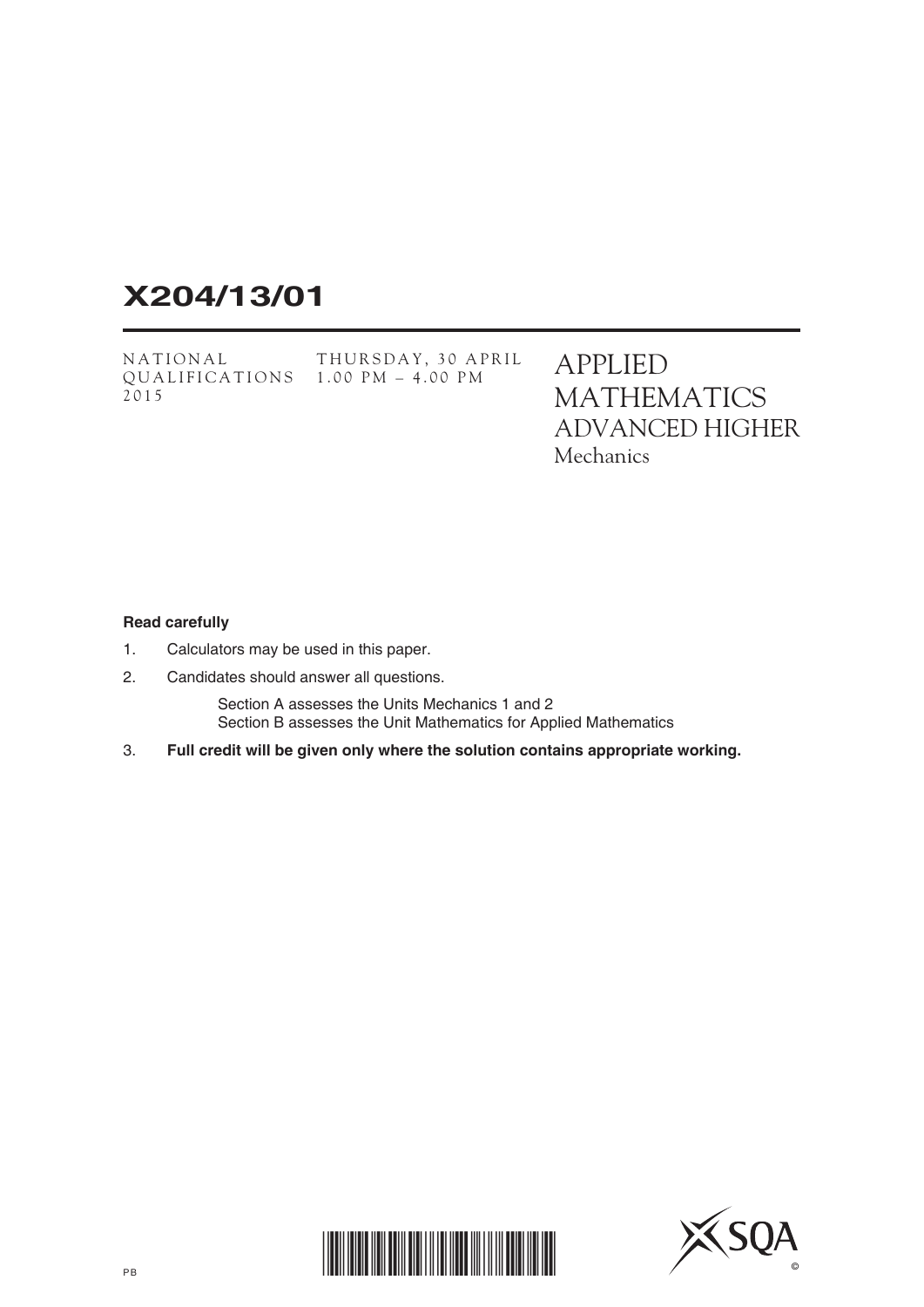# **X204/13/01**

NATIONAL QUALIFICATIONS 1.00 PM – 4.00 PM2015 THURSDAY, 30 APRIL APPLIED MATHEMATICS ADVANCED HIGHER **Mechanics** 

### **Read carefully**

- 1. Calculators may be used in this paper.
- 2. Candidates should answer all questions.

 Section A assesses the Units Mechanics 1 and 2 Section B assesses the Unit Mathematics for Applied Mathematics

3. **Full credit will be given only where the solution contains appropriate working.**



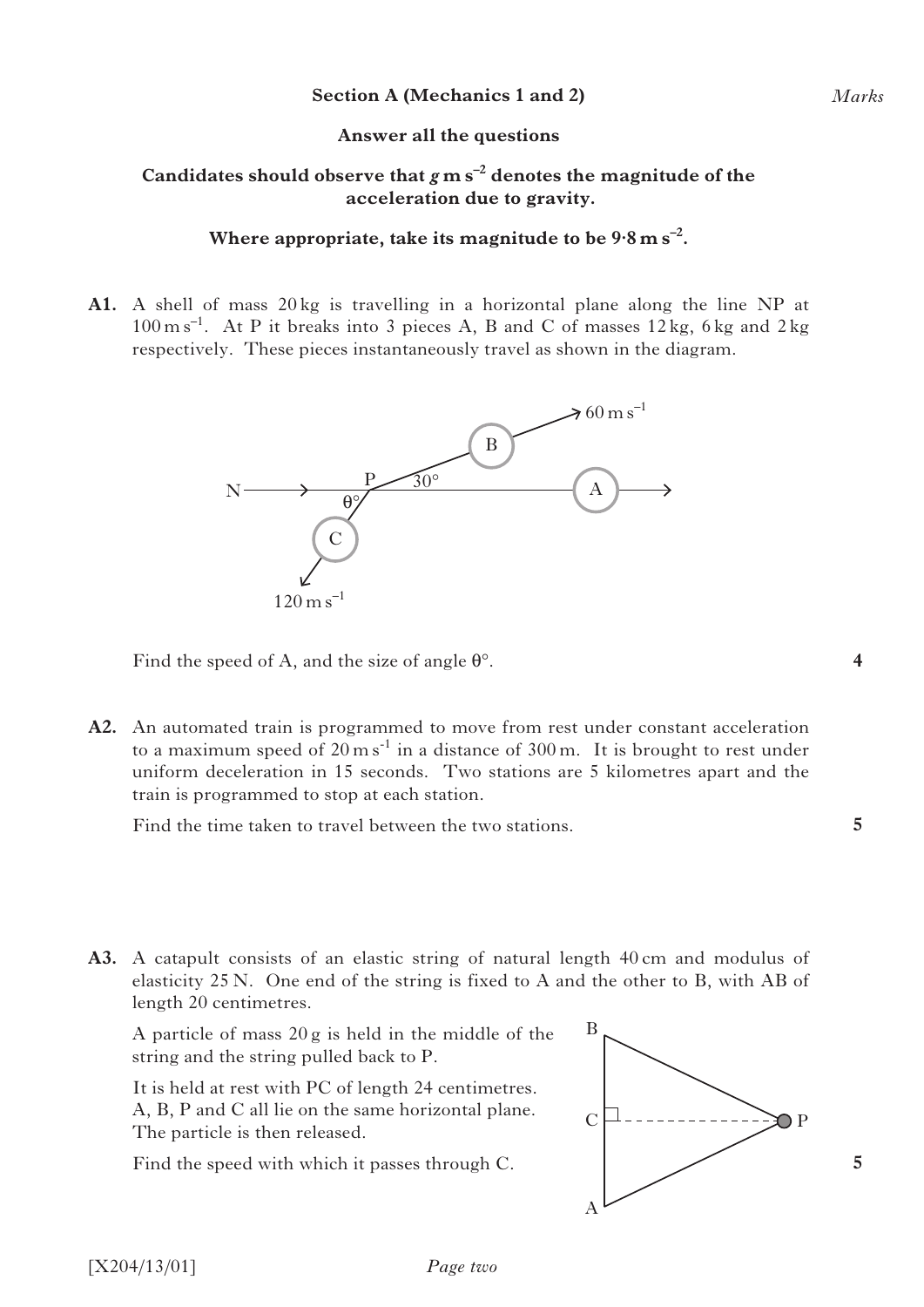## **Answer all the questions**

# Candidates should observe that  $g$  m s<sup>-2</sup> denotes the magnitude of the **acceleration due to gravity.**

## **Where appropriate, take its magnitude to be 9·8ms–2.**

**A1.** A shell of mass 20 kg is travelling in a horizontal plane along the line NP at  $100 \text{ m s}^{-1}$ . At P it breaks into 3 pieces A, B and C of masses  $12 \text{ kg}$ , 6 kg and  $2 \text{ kg}$ respectively. These pieces instantaneously travel as shown in the diagram.



Find the speed of A, and the size of angle  $\theta^{\circ}$ .

**A2.** An automated train is programmed to move from rest under constant acceleration to a maximum speed of  $20 \text{ m s}^{-1}$  in a distance of  $300 \text{ m}$ . It is brought to rest under uniform deceleration in 15 seconds. Two stations are 5 kilometres apart and the train is programmed to stop at each station.

Find the time taken to travel between the two stations.

**A3.** A catapult consists of an elastic string of natural length 40 cm and modulus of elasticity 25 N. One end of the string is fixed to A and the other to B, with AB of length 20 centimetres.

 A particle of mass 20 g is held in the middle of the string and the string pulled back to P.

 It is held at rest with PC of length 24 centimetres. A, B, P and C all lie on the same horizontal plane. The particle is then released.

Find the speed with which it passes through C.



**5**

**5**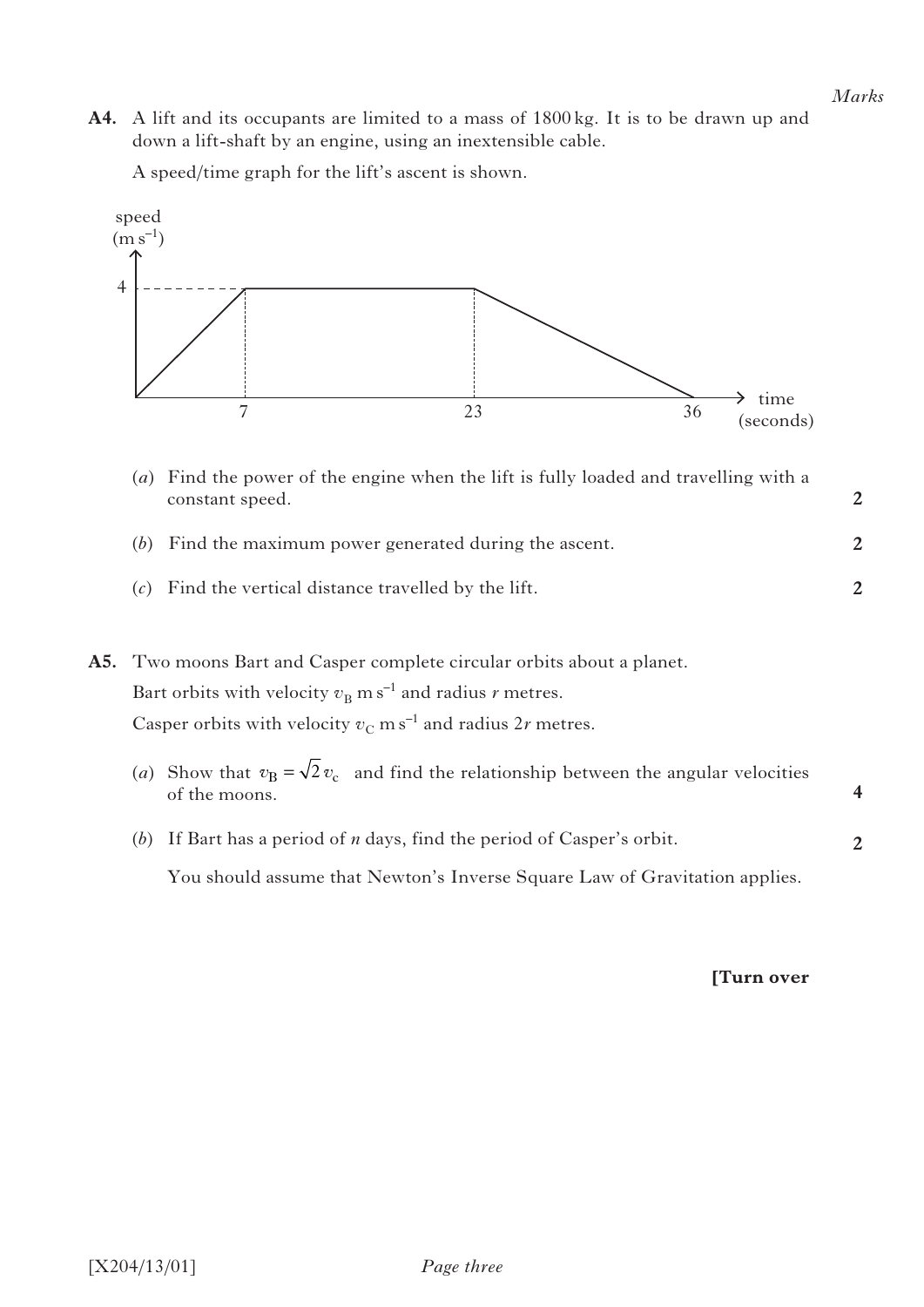**2**

**2**

**2**

**A4.** A lift and its occupants are limited to a mass of 1800 kg. It is to be drawn up and down a lift-shaft by an engine, using an inextensible cable.

A speed/time graph for the lift's ascent is shown.



- (*a*) Find the power of the engine when the lift is fully loaded and travelling with a constant speed.
- (*b*) Find the maximum power generated during the ascent.
- (*c*) Find the vertical distance travelled by the lift.

|  | A5. Two moons Bart and Casper complete circular orbits about a planet.                                       |  |
|--|--------------------------------------------------------------------------------------------------------------|--|
|  | Bart orbits with velocity $v_R$ m s <sup>-1</sup> and radius <i>r</i> metres.                                |  |
|  | Casper orbits with velocity $v_C$ m s <sup>-1</sup> and radius 2r metres.                                    |  |
|  | (a) Show that $v_R = \sqrt{2} v_c$ and find the relationship between the angular velocities<br>of the moons. |  |
|  | If Bart has a period of $n$ days, find the period of Casper's orbit.<br>(b)                                  |  |

You should assume that Newton's Inverse Square Law of Gravitation applies.

## **[Turn over**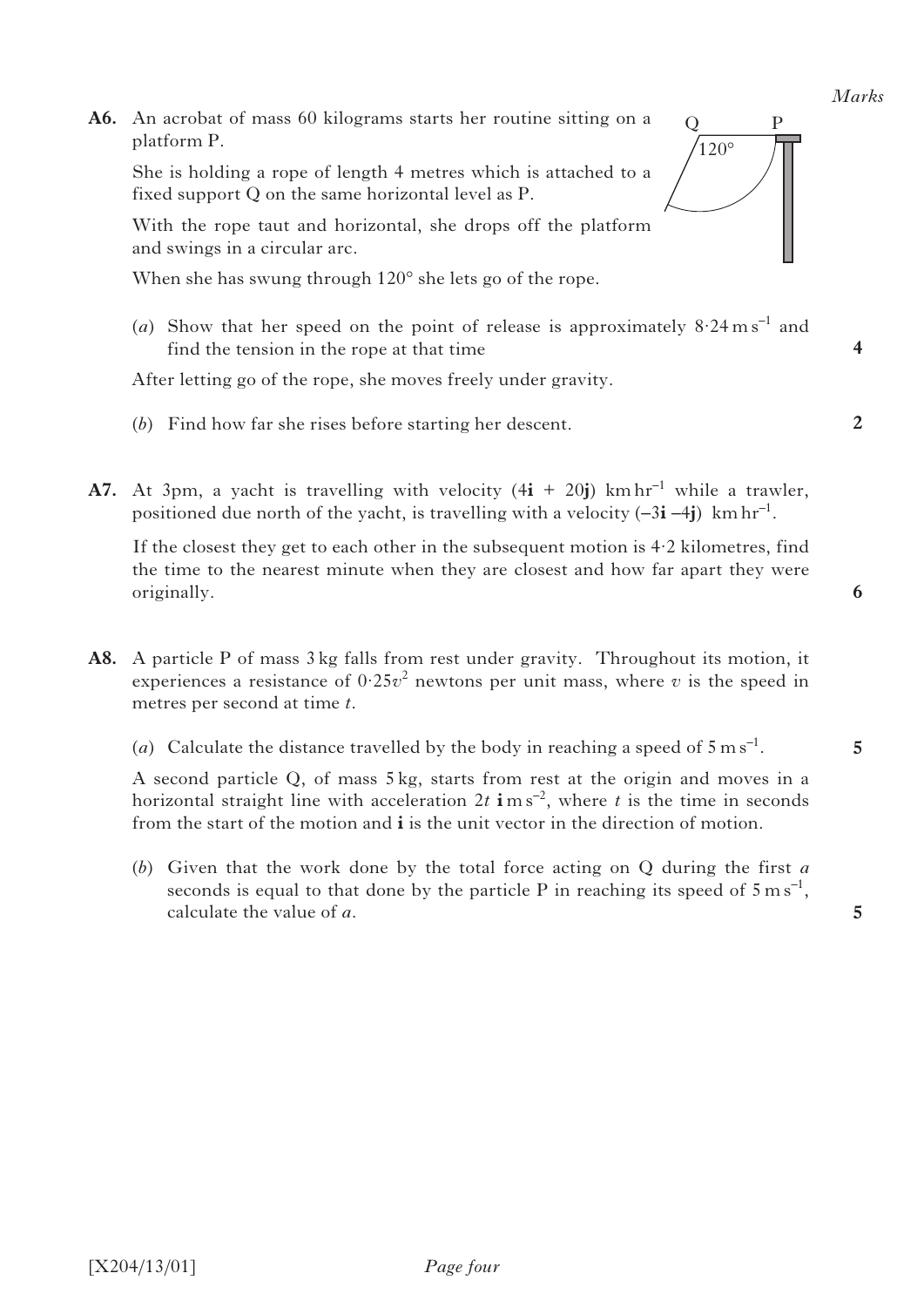**A6.** An acrobat of mass 60 kilograms starts her routine sitting on a platform P.

 She is holding a rope of length 4 metres which is attached to a fixed support Q on the same horizontal level as P.

 With the rope taut and horizontal, she drops off the platform and swings in a circular arc.

When she has swung through  $120^{\circ}$  she lets go of the rope.

(*a*) Show that her speed on the point of release is approximately  $8.24 \text{ m s}^{-1}$  and find the tension in the rope at that time

After letting go of the rope, she moves freely under gravity.

- (*b*) Find how far she rises before starting her descent.
- **A7.** At 3pm, a yacht is travelling with velocity  $(4\mathbf{i} + 20\mathbf{j})$  km hr<sup>-1</sup> while a trawler, positioned due north of the yacht, is travelling with a velocity  $(-3\mathbf{i} - 4\mathbf{j})$  km hr<sup>-1</sup>.

 If the closest they get to each other in the subsequent motion is 4·2 kilometres, find the time to the nearest minute when they are closest and how far apart they were originally.

- **A8.** A particle P of mass 3 kg falls from rest under gravity. Throughout its motion, it experiences a resistance of  $0.25v^2$  newtons per unit mass, where *v* is the speed in metres per second at time *t*.
	- (*a*) Calculate the distance travelled by the body in reaching a speed of  $5 \text{ m s}^{-1}$ .

 A second particle Q, of mass 5 kg, starts from rest at the origin and moves in a horizontal straight line with acceleration  $2t$  **i** ms<sup>-2</sup>, where *t* is the time in seconds from the start of the motion and **i** is the unit vector in the direction of motion.

 (*b*) Given that the work done by the total force acting on Q during the first *a* seconds is equal to that done by the particle P in reaching its speed of  $5 \text{ m s}^{-1}$ , calculate the value of *a*.

**5**

**5**



**4**

**2**

**6**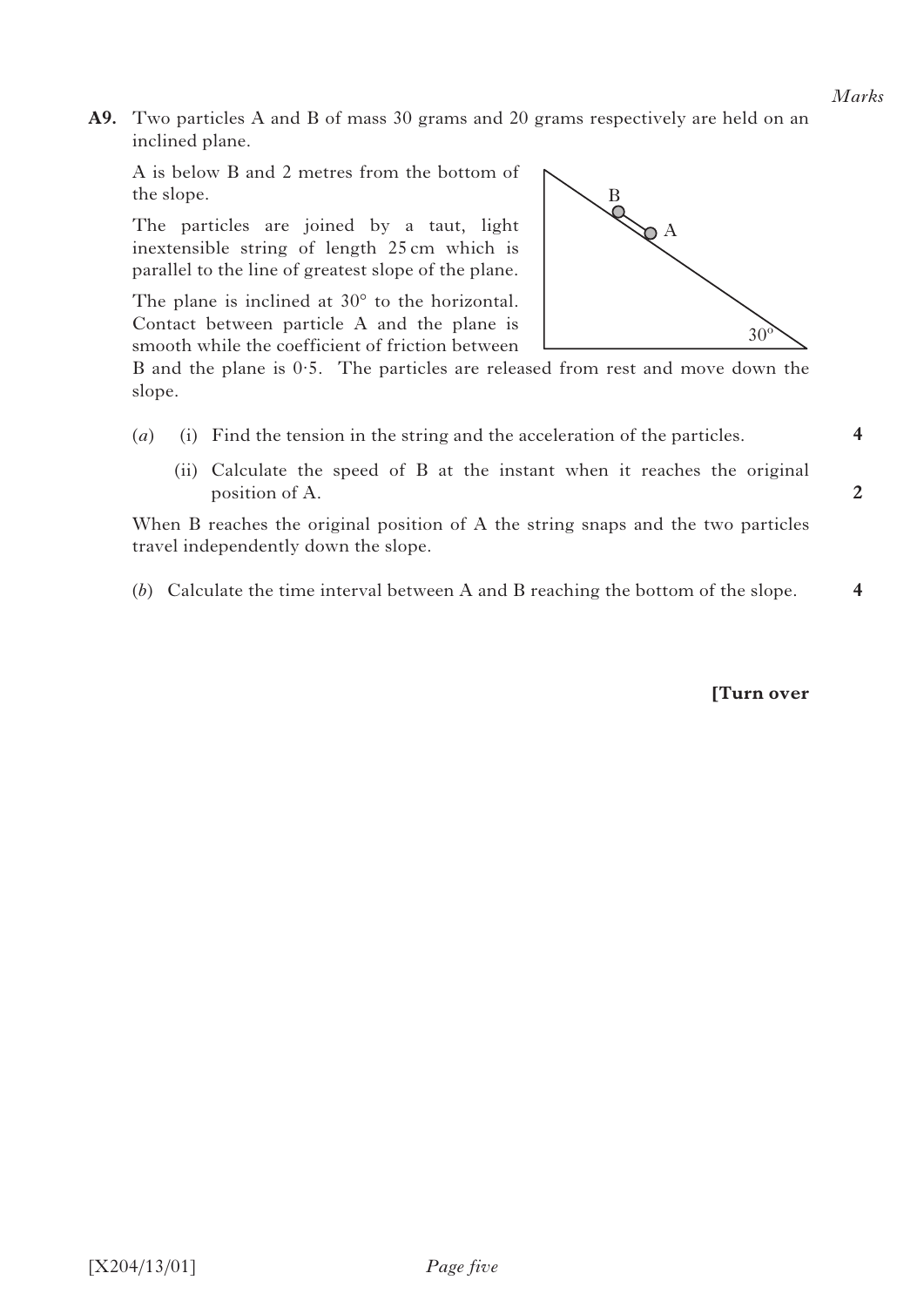**4**

**2**

**A9.** Two particles A and B of mass 30 grams and 20 grams respectively are held on an inclined plane.

 A is below B and 2 metres from the bottom of the slope.

 The particles are joined by a taut, light inextensible string of length 25 cm which is parallel to the line of greatest slope of the plane.

 The plane is inclined at 30° to the horizontal. Contact between particle A and the plane is smooth while the coefficient of friction between



B and the plane is 0·5. The particles are released from rest and move down the slope.

- (*a*) (i) Find the tension in the string and the acceleration of the particles.
	- (ii) Calculate the speed of B at the instant when it reaches the original position of A.

 When B reaches the original position of A the string snaps and the two particles travel independently down the slope.

 (*b*) Calculate the time interval between A and B reaching the bottom of the slope. **4**

**[Turn over**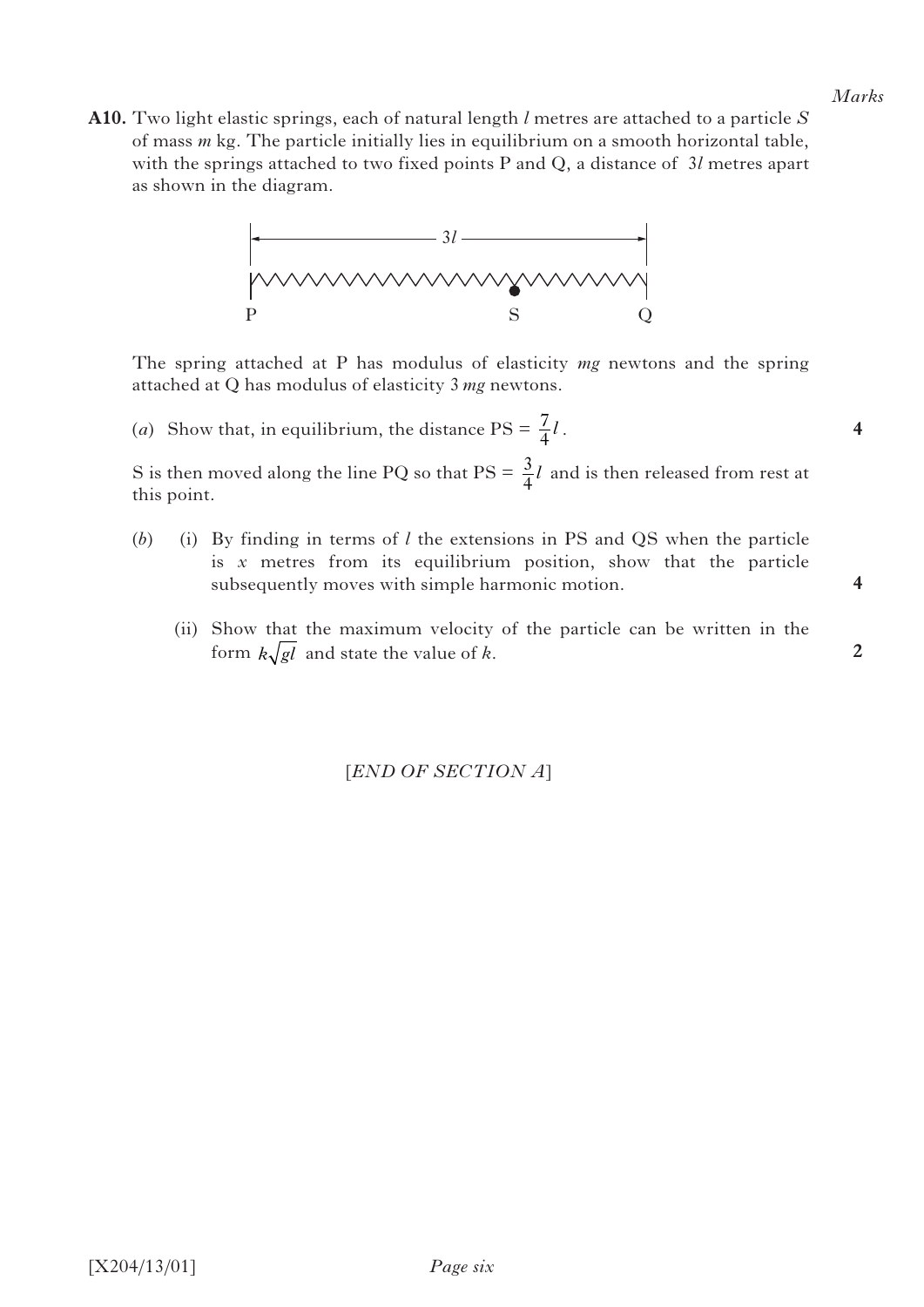**4**

**4**

**2**

**A10.** Two light elastic springs, each of natural length *l* metres are attached to a particle *S* of mass *m* kg. The particle initially lies in equilibrium on a smooth horizontal table, with the springs attached to two fixed points P and Q, a distance of 3*l* metres apart as shown in the diagram.



 The spring attached at P has modulus of elasticity *mg* newtons and the spring attached at Q has modulus of elasticity 3 *mg* newtons.

(*a*) Show that, in equilibrium, the distance  $PS = \frac{7}{4}l$ .

S is then moved along the line PQ so that  $PS = \frac{3}{4}l$  and is then released from rest at this point.

- (*b*) (i) By finding in terms of *l* the extensions in PS and QS when the particle is *x* metres from its equilibrium position, show that the particle subsequently moves with simple harmonic motion.
	- (ii) Show that the maximum velocity of the particle can be written in the form  $k\sqrt{gl}$  and state the value of *k*.

[*END OF SECTION A*]